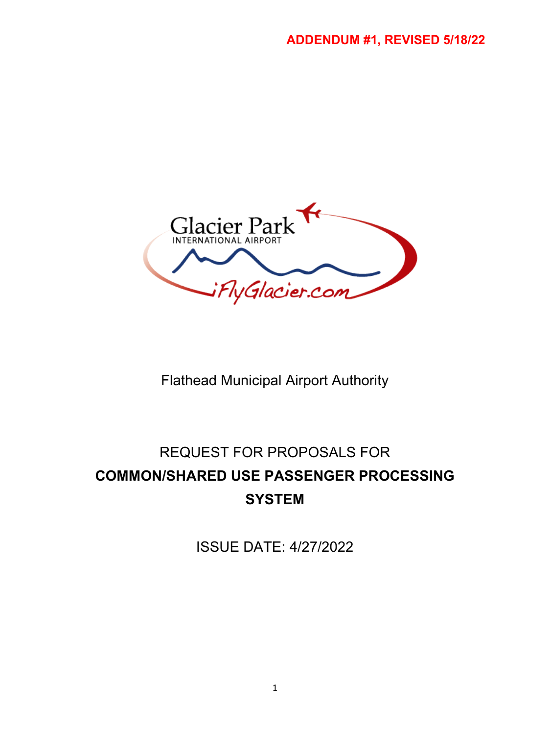

Flathead Municipal Airport Authority

# REQUEST FOR PROPOSALS FOR **COMMON/SHARED USE PASSENGER PROCESSING SYSTEM**

ISSUE DATE: 4/27/2022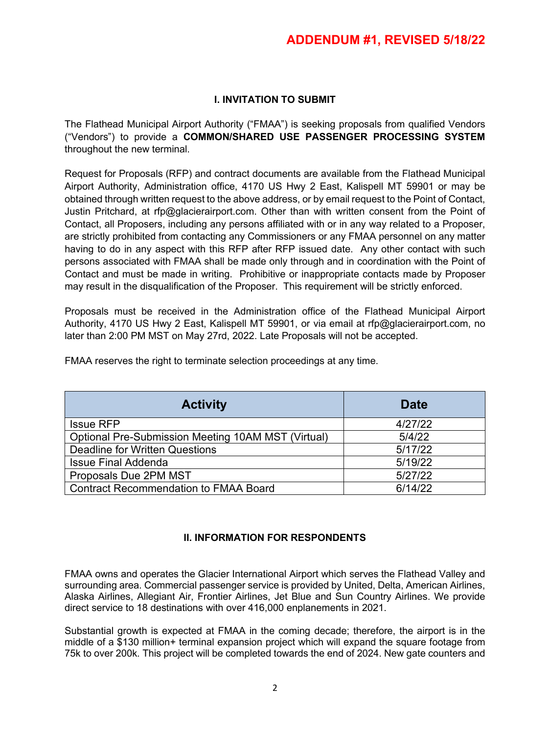# **I. INVITATION TO SUBMIT**

The Flathead Municipal Airport Authority ("FMAA") is seeking proposals from qualified Vendors ("Vendors") to provide a **COMMON/SHARED USE PASSENGER PROCESSING SYSTEM**  throughout the new terminal.

Request for Proposals (RFP) and contract documents are available from the Flathead Municipal Airport Authority, Administration office, 4170 US Hwy 2 East, Kalispell MT 59901 or may be obtained through written request to the above address, or by email request to the Point of Contact, Justin Pritchard, at rfp@glacierairport.com. Other than with written consent from the Point of Contact, all Proposers, including any persons affiliated with or in any way related to a Proposer, are strictly prohibited from contacting any Commissioners or any FMAA personnel on any matter having to do in any aspect with this RFP after RFP issued date. Any other contact with such persons associated with FMAA shall be made only through and in coordination with the Point of Contact and must be made in writing. Prohibitive or inappropriate contacts made by Proposer may result in the disqualification of the Proposer. This requirement will be strictly enforced.

Proposals must be received in the Administration office of the Flathead Municipal Airport Authority, 4170 US Hwy 2 East, Kalispell MT 59901, or via email at rfp@glacierairport.com, no later than 2:00 PM MST on May 27rd, 2022. Late Proposals will not be accepted.

FMAA reserves the right to terminate selection proceedings at any time.

| <b>Activity</b>                                           | <b>Date</b> |
|-----------------------------------------------------------|-------------|
| <b>Issue RFP</b>                                          | 4/27/22     |
| <b>Optional Pre-Submission Meeting 10AM MST (Virtual)</b> | 5/4/22      |
| <b>Deadline for Written Questions</b>                     | 5/17/22     |
| <b>Issue Final Addenda</b>                                | 5/19/22     |
| Proposals Due 2PM MST                                     | 5/27/22     |
| <b>Contract Recommendation to FMAA Board</b>              | 6/14/22     |

### **II. INFORMATION FOR RESPONDENTS**

FMAA owns and operates the Glacier International Airport which serves the Flathead Valley and surrounding area. Commercial passenger service is provided by United, Delta, American Airlines, Alaska Airlines, Allegiant Air, Frontier Airlines, Jet Blue and Sun Country Airlines. We provide direct service to 18 destinations with over 416,000 enplanements in 2021.

Substantial growth is expected at FMAA in the coming decade; therefore, the airport is in the middle of a \$130 million+ terminal expansion project which will expand the square footage from 75k to over 200k. This project will be completed towards the end of 2024. New gate counters and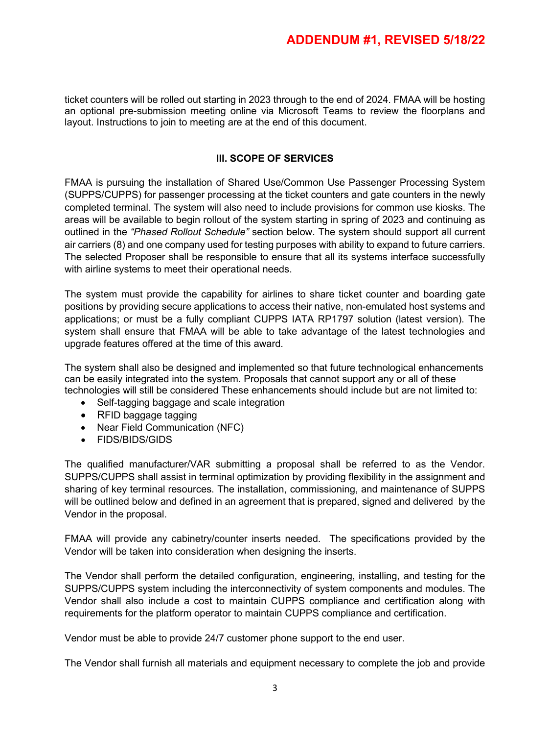ticket counters will be rolled out starting in 2023 through to the end of 2024. FMAA will be hosting an optional pre-submission meeting online via Microsoft Teams to review the floorplans and layout. Instructions to join to meeting are at the end of this document.

### **III. SCOPE OF SERVICES**

FMAA is pursuing the installation of Shared Use/Common Use Passenger Processing System (SUPPS/CUPPS) for passenger processing at the ticket counters and gate counters in the newly completed terminal. The system will also need to include provisions for common use kiosks. The areas will be available to begin rollout of the system starting in spring of 2023 and continuing as outlined in the *"Phased Rollout Schedule"* section below. The system should support all current air carriers (8) and one company used for testing purposes with ability to expand to future carriers. The selected Proposer shall be responsible to ensure that all its systems interface successfully with airline systems to meet their operational needs.

The system must provide the capability for airlines to share ticket counter and boarding gate positions by providing secure applications to access their native, non-emulated host systems and applications; or must be a fully compliant CUPPS IATA RP1797 solution (latest version). The system shall ensure that FMAA will be able to take advantage of the latest technologies and upgrade features offered at the time of this award.

The system shall also be designed and implemented so that future technological enhancements can be easily integrated into the system. Proposals that cannot support any or all of these technologies will still be considered These enhancements should include but are not limited to:

- Self-tagging baggage and scale integration
- RFID baggage tagging
- Near Field Communication (NFC)
- FIDS/BIDS/GIDS

The qualified manufacturer/VAR submitting a proposal shall be referred to as the Vendor. SUPPS/CUPPS shall assist in terminal optimization by providing flexibility in the assignment and sharing of key terminal resources. The installation, commissioning, and maintenance of SUPPS will be outlined below and defined in an agreement that is prepared, signed and delivered by the Vendor in the proposal.

FMAA will provide any cabinetry/counter inserts needed. The specifications provided by the Vendor will be taken into consideration when designing the inserts.

The Vendor shall perform the detailed configuration, engineering, installing, and testing for the SUPPS/CUPPS system including the interconnectivity of system components and modules. The Vendor shall also include a cost to maintain CUPPS compliance and certification along with requirements for the platform operator to maintain CUPPS compliance and certification.

Vendor must be able to provide 24/7 customer phone support to the end user.

The Vendor shall furnish all materials and equipment necessary to complete the job and provide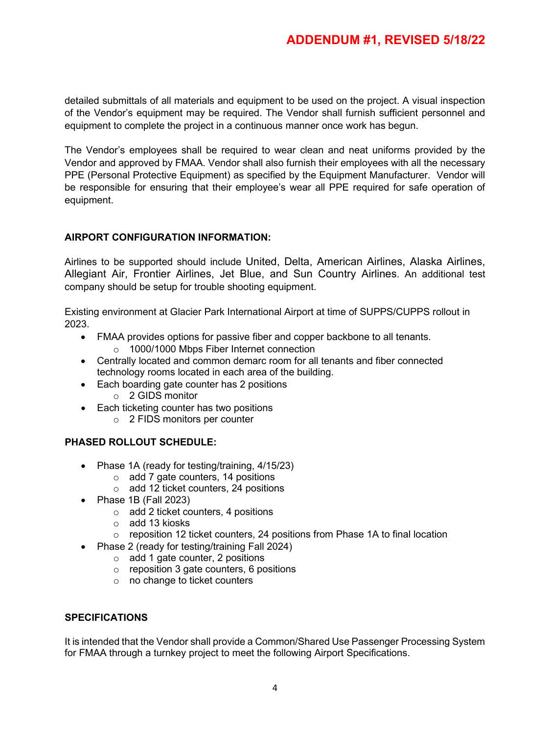detailed submittals of all materials and equipment to be used on the project. A visual inspection of the Vendor's equipment may be required. The Vendor shall furnish sufficient personnel and equipment to complete the project in a continuous manner once work has begun.

The Vendor's employees shall be required to wear clean and neat uniforms provided by the Vendor and approved by FMAA. Vendor shall also furnish their employees with all the necessary PPE (Personal Protective Equipment) as specified by the Equipment Manufacturer. Vendor will be responsible for ensuring that their employee's wear all PPE required for safe operation of equipment.

# **AIRPORT CONFIGURATION INFORMATION:**

Airlines to be supported should include United, Delta, American Airlines, Alaska Airlines, Allegiant Air, Frontier Airlines, Jet Blue, and Sun Country Airlines. An additional test company should be setup for trouble shooting equipment.

Existing environment at Glacier Park International Airport at time of SUPPS/CUPPS rollout in 2023.

- FMAA provides options for passive fiber and copper backbone to all tenants. o 1000/1000 Mbps Fiber Internet connection
- Centrally located and common demarc room for all tenants and fiber connected technology rooms located in each area of the building.
- Each boarding gate counter has 2 positions
	- o 2 GIDS monitor
- Each ticketing counter has two positions
	- o 2 FIDS monitors per counter

### **PHASED ROLLOUT SCHEDULE:**

- Phase 1A (ready for testing/training, 4/15/23)
	- $\circ$  add 7 gate counters, 14 positions
	- o add 12 ticket counters, 24 positions
- Phase 1B (Fall 2023)
	- o add 2 ticket counters, 4 positions
	- o add 13 kiosks
	- $\circ$  reposition 12 ticket counters, 24 positions from Phase 1A to final location
- Phase 2 (ready for testing/training Fall 2024)
	- $\circ$  add 1 gate counter, 2 positions
	- o reposition 3 gate counters, 6 positions
	- o no change to ticket counters

### **SPECIFICATIONS**

It is intended that the Vendor shall provide a Common/Shared Use Passenger Processing System for FMAA through a turnkey project to meet the following Airport Specifications.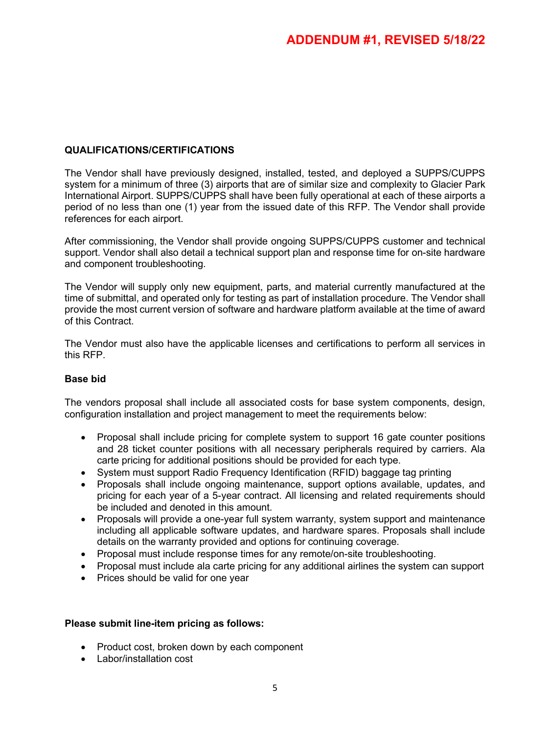### **QUALIFICATIONS/CERTIFICATIONS**

The Vendor shall have previously designed, installed, tested, and deployed a SUPPS/CUPPS system for a minimum of three (3) airports that are of similar size and complexity to Glacier Park International Airport. SUPPS/CUPPS shall have been fully operational at each of these airports a period of no less than one (1) year from the issued date of this RFP. The Vendor shall provide references for each airport.

After commissioning, the Vendor shall provide ongoing SUPPS/CUPPS customer and technical support. Vendor shall also detail a technical support plan and response time for on-site hardware and component troubleshooting.

The Vendor will supply only new equipment, parts, and material currently manufactured at the time of submittal, and operated only for testing as part of installation procedure. The Vendor shall provide the most current version of software and hardware platform available at the time of award of this Contract.

The Vendor must also have the applicable licenses and certifications to perform all services in this RFP.

### **Base bid**

The vendors proposal shall include all associated costs for base system components, design, configuration installation and project management to meet the requirements below:

- Proposal shall include pricing for complete system to support 16 gate counter positions and 28 ticket counter positions with all necessary peripherals required by carriers. Ala carte pricing for additional positions should be provided for each type.
- System must support Radio Frequency Identification (RFID) baggage tag printing
- Proposals shall include ongoing maintenance, support options available, updates, and pricing for each year of a 5-year contract. All licensing and related requirements should be included and denoted in this amount.
- Proposals will provide a one-year full system warranty, system support and maintenance including all applicable software updates, and hardware spares. Proposals shall include details on the warranty provided and options for continuing coverage.
- Proposal must include response times for any remote/on-site troubleshooting.
- Proposal must include ala carte pricing for any additional airlines the system can support
- Prices should be valid for one year

#### **Please submit line-item pricing as follows:**

- Product cost, broken down by each component
- Labor/installation cost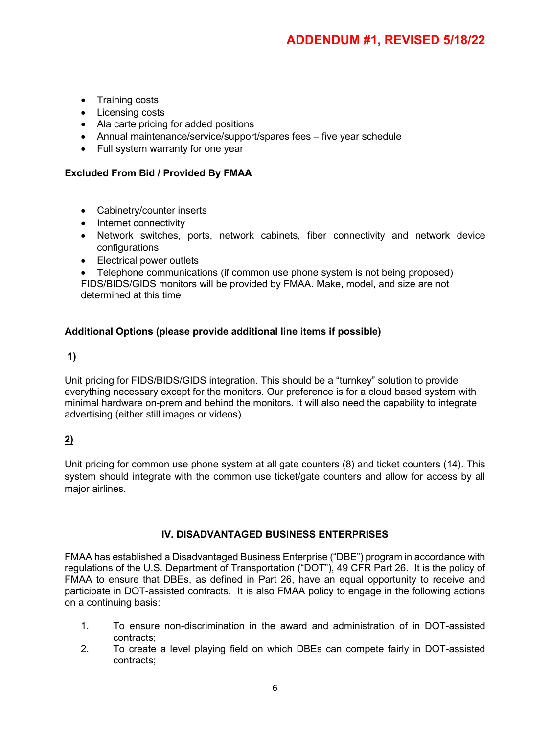- Training costs
- Licensing costs
- Ala carte pricing for added positions
- Annual maintenance/service/support/spares fees five vear schedule
- Full system warranty for one year

# **Excluded From Bid / Provided By FMAA**

- Cabinetry/counter inserts
- Internet connectivity
- Network switches, ports, network cabinets, fiber connectivity and network device configurations
- Electrical power outlets

• Telephone communications (if common use phone system is not being proposed) FIDS/BIDS/GIDS monitors will be provided by FMAA. Make, model, and size are not determined at this time

# **Additional Options (please provide additional line items if possible)**

# **1)**

Unit pricing for FIDS/BIDS/GIDS integration. This should be a "turnkey" solution to provide everything necessary except for the monitors. Our preference is for a cloud based system with minimal hardware on-prem and behind the monitors. It will also need the capability to integrate advertising (either still images or videos).

# **2)**

Unit pricing for common use phone system at all gate counters (8) and ticket counters (14). This system should integrate with the common use ticket/gate counters and allow for access by all major airlines.

# **IV. DISADVANTAGED BUSINESS ENTERPRISES**

FMAA has established a Disadvantaged Business Enterprise ("DBE") program in accordance with regulations of the U.S. Department of Transportation ("DOT"), 49 CFR Part 26. It is the policy of FMAA to ensure that DBEs, as defined in Part 26, have an equal opportunity to receive and participate in DOT-assisted contracts. It is also FMAA policy to engage in the following actions on a continuing basis:

- 1. To ensure non-discrimination in the award and administration of in DOT-assisted contracts;
- 2. To create a level playing field on which DBEs can compete fairly in DOT-assisted contracts;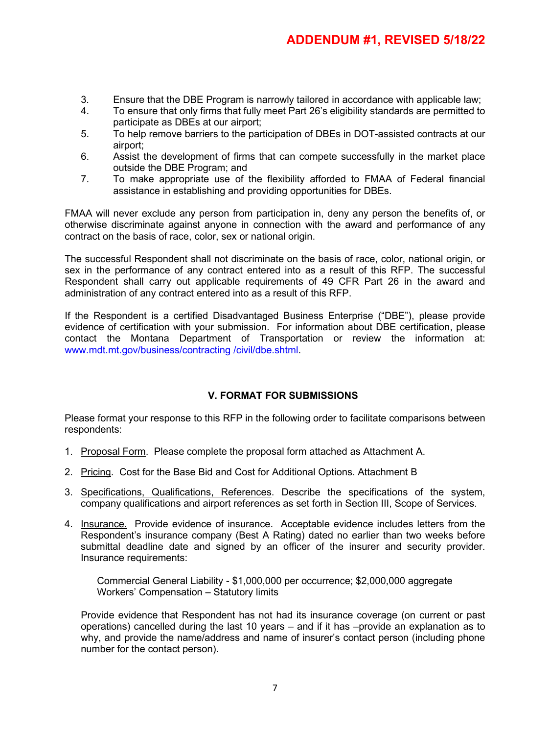- 3. Ensure that the DBE Program is narrowly tailored in accordance with applicable law;
- 4. To ensure that only firms that fully meet Part 26's eligibility standards are permitted to participate as DBEs at our airport;
- 5. To help remove barriers to the participation of DBEs in DOT-assisted contracts at our airport;
- 6. Assist the development of firms that can compete successfully in the market place outside the DBE Program; and
- 7. To make appropriate use of the flexibility afforded to FMAA of Federal financial assistance in establishing and providing opportunities for DBEs.

FMAA will never exclude any person from participation in, deny any person the benefits of, or otherwise discriminate against anyone in connection with the award and performance of any contract on the basis of race, color, sex or national origin.

The successful Respondent shall not discriminate on the basis of race, color, national origin, or sex in the performance of any contract entered into as a result of this RFP. The successful Respondent shall carry out applicable requirements of 49 CFR Part 26 in the award and administration of any contract entered into as a result of this RFP.

If the Respondent is a certified Disadvantaged Business Enterprise ("DBE"), please provide evidence of certification with your submission. For information about DBE certification, please contact the Montana Department of Transportation or review the information at: [www.mdt.mt.gov/business/contracting /civil/dbe.shtml.](http://www.mdt.mt.gov/business/contracting%20/civil/dbe.shtml)

# **V. FORMAT FOR SUBMISSIONS**

Please format your response to this RFP in the following order to facilitate comparisons between respondents:

- 1. Proposal Form. Please complete the proposal form attached as Attachment A.
- 2. Pricing. Cost for the Base Bid and Cost for Additional Options. Attachment B
- 3. Specifications, Qualifications, References. Describe the specifications of the system, company qualifications and airport references as set forth in Section III, Scope of Services.
- 4. Insurance. Provide evidence of insurance. Acceptable evidence includes letters from the Respondent's insurance company (Best A Rating) dated no earlier than two weeks before submittal deadline date and signed by an officer of the insurer and security provider. Insurance requirements:

Commercial General Liability - \$1,000,000 per occurrence; \$2,000,000 aggregate Workers' Compensation – Statutory limits

Provide evidence that Respondent has not had its insurance coverage (on current or past operations) cancelled during the last 10 years – and if it has –provide an explanation as to why, and provide the name/address and name of insurer's contact person (including phone number for the contact person).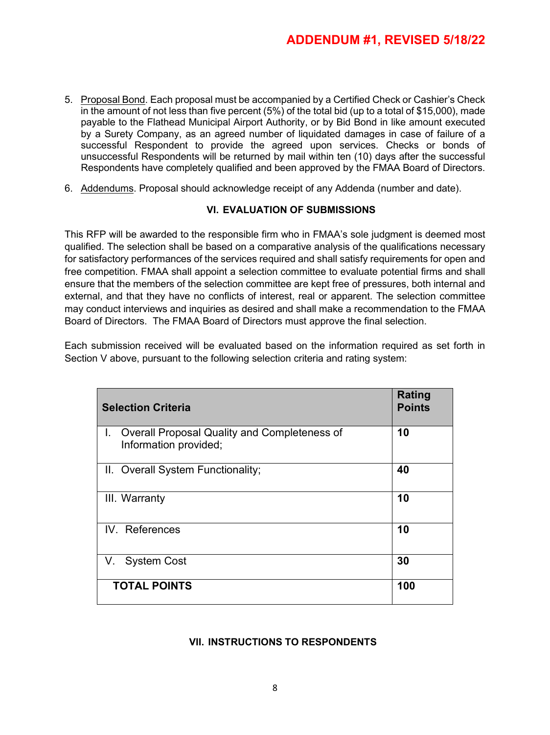- 5. Proposal Bond. Each proposal must be accompanied by a Certified Check or Cashier's Check in the amount of not less than five percent (5%) of the total bid (up to a total of \$15,000), made payable to the Flathead Municipal Airport Authority, or by Bid Bond in like amount executed by a Surety Company, as an agreed number of liquidated damages in case of failure of a successful Respondent to provide the agreed upon services. Checks or bonds of unsuccessful Respondents will be returned by mail within ten (10) days after the successful Respondents have completely qualified and been approved by the FMAA Board of Directors.
- 6. Addendums. Proposal should acknowledge receipt of any Addenda (number and date).

# **VI. EVALUATION OF SUBMISSIONS**

This RFP will be awarded to the responsible firm who in FMAA's sole judgment is deemed most qualified. The selection shall be based on a comparative analysis of the qualifications necessary for satisfactory performances of the services required and shall satisfy requirements for open and free competition. FMAA shall appoint a selection committee to evaluate potential firms and shall ensure that the members of the selection committee are kept free of pressures, both internal and external, and that they have no conflicts of interest, real or apparent. The selection committee may conduct interviews and inquiries as desired and shall make a recommendation to the FMAA Board of Directors. The FMAA Board of Directors must approve the final selection.

Each submission received will be evaluated based on the information required as set forth in Section V above, pursuant to the following selection criteria and rating system:

| <b>Selection Criteria</b>                                                | Rating<br><b>Points</b> |
|--------------------------------------------------------------------------|-------------------------|
| I. Overall Proposal Quality and Completeness of<br>Information provided; | 10                      |
| II. Overall System Functionality;                                        | 40                      |
| III. Warranty                                                            | 10                      |
| IV. References                                                           | 10                      |
| V. System Cost                                                           | 30                      |
| <b>TOTAL POINTS</b>                                                      | 100                     |

### **VII. INSTRUCTIONS TO RESPONDENTS**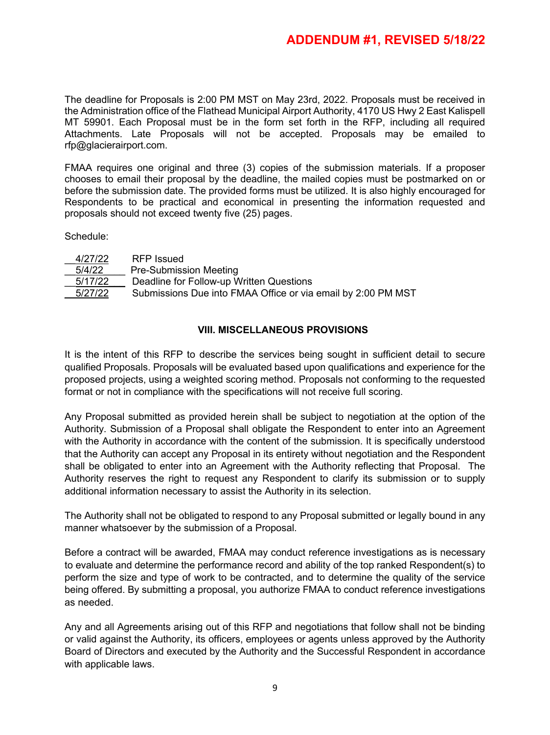The deadline for Proposals is 2:00 PM MST on May 23rd, 2022. Proposals must be received in the Administration office of the Flathead Municipal Airport Authority, 4170 US Hwy 2 East Kalispell MT 59901. Each Proposal must be in the form set forth in the RFP, including all required Attachments. Late Proposals will not be accepted. Proposals may be emailed to rfp@glacierairport.com.

FMAA requires one original and three (3) copies of the submission materials. If a proposer chooses to email their proposal by the deadline, the mailed copies must be postmarked on or before the submission date. The provided forms must be utilized. It is also highly encouraged for Respondents to be practical and economical in presenting the information requested and proposals should not exceed twenty five (25) pages.

Schedule:

| 4/27/22 | RFP Issued                                                   |
|---------|--------------------------------------------------------------|
| 5/4/22  | <b>Pre-Submission Meeting</b>                                |
| 5/17/22 | Deadline for Follow-up Written Questions                     |
| 5/27/22 | Submissions Due into FMAA Office or via email by 2:00 PM MST |
|         |                                                              |

# **VIII. MISCELLANEOUS PROVISIONS**

It is the intent of this RFP to describe the services being sought in sufficient detail to secure qualified Proposals. Proposals will be evaluated based upon qualifications and experience for the proposed projects, using a weighted scoring method. Proposals not conforming to the requested format or not in compliance with the specifications will not receive full scoring.

Any Proposal submitted as provided herein shall be subject to negotiation at the option of the Authority. Submission of a Proposal shall obligate the Respondent to enter into an Agreement with the Authority in accordance with the content of the submission. It is specifically understood that the Authority can accept any Proposal in its entirety without negotiation and the Respondent shall be obligated to enter into an Agreement with the Authority reflecting that Proposal. The Authority reserves the right to request any Respondent to clarify its submission or to supply additional information necessary to assist the Authority in its selection.

The Authority shall not be obligated to respond to any Proposal submitted or legally bound in any manner whatsoever by the submission of a Proposal.

Before a contract will be awarded, FMAA may conduct reference investigations as is necessary to evaluate and determine the performance record and ability of the top ranked Respondent(s) to perform the size and type of work to be contracted, and to determine the quality of the service being offered. By submitting a proposal, you authorize FMAA to conduct reference investigations as needed.

Any and all Agreements arising out of this RFP and negotiations that follow shall not be binding or valid against the Authority, its officers, employees or agents unless approved by the Authority Board of Directors and executed by the Authority and the Successful Respondent in accordance with applicable laws.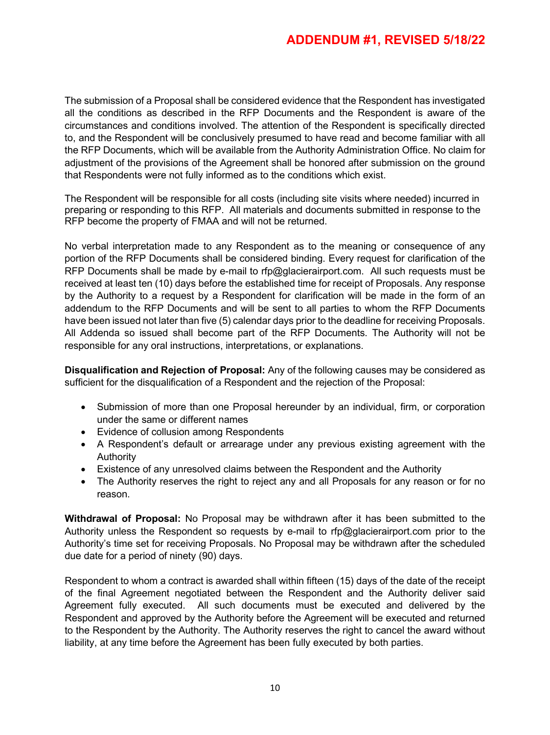The submission of a Proposal shall be considered evidence that the Respondent has investigated all the conditions as described in the RFP Documents and the Respondent is aware of the circumstances and conditions involved. The attention of the Respondent is specifically directed to, and the Respondent will be conclusively presumed to have read and become familiar with all the RFP Documents, which will be available from the Authority Administration Office. No claim for adjustment of the provisions of the Agreement shall be honored after submission on the ground that Respondents were not fully informed as to the conditions which exist.

The Respondent will be responsible for all costs (including site visits where needed) incurred in preparing or responding to this RFP. All materials and documents submitted in response to the RFP become the property of FMAA and will not be returned.

No verbal interpretation made to any Respondent as to the meaning or consequence of any portion of the RFP Documents shall be considered binding. Every request for clarification of the RFP Documents shall be made by e-mail to rfp@glacierairport.com. All such requests must be received at least ten (10) days before the established time for receipt of Proposals. Any response by the Authority to a request by a Respondent for clarification will be made in the form of an addendum to the RFP Documents and will be sent to all parties to whom the RFP Documents have been issued not later than five (5) calendar days prior to the deadline for receiving Proposals. All Addenda so issued shall become part of the RFP Documents. The Authority will not be responsible for any oral instructions, interpretations, or explanations.

**Disqualification and Rejection of Proposal:** Any of the following causes may be considered as sufficient for the disqualification of a Respondent and the rejection of the Proposal:

- Submission of more than one Proposal hereunder by an individual, firm, or corporation under the same or different names
- Evidence of collusion among Respondents
- A Respondent's default or arrearage under any previous existing agreement with the Authority
- Existence of any unresolved claims between the Respondent and the Authority
- The Authority reserves the right to reject any and all Proposals for any reason or for no reason.

**Withdrawal of Proposal:** No Proposal may be withdrawn after it has been submitted to the Authority unless the Respondent so requests by e-mail to rfp@glacierairport.com prior to the Authority's time set for receiving Proposals. No Proposal may be withdrawn after the scheduled due date for a period of ninety (90) days.

Respondent to whom a contract is awarded shall within fifteen (15) days of the date of the receipt of the final Agreement negotiated between the Respondent and the Authority deliver said Agreement fully executed. All such documents must be executed and delivered by the Respondent and approved by the Authority before the Agreement will be executed and returned to the Respondent by the Authority. The Authority reserves the right to cancel the award without liability, at any time before the Agreement has been fully executed by both parties.